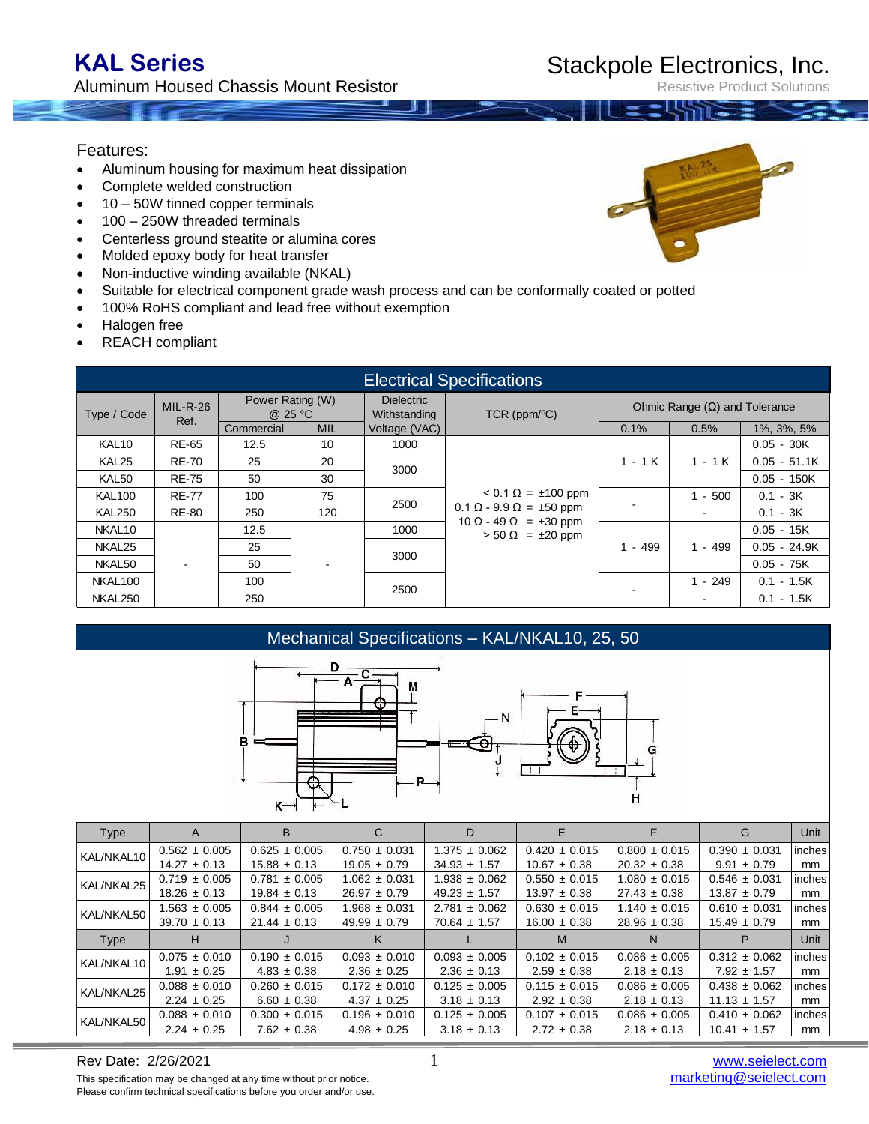## Features:

- Aluminum housing for maximum heat dissipation
- Complete welded construction
- 10 50W tinned copper terminals
- 100 250W threaded terminals
- Centerless ground steatite or alumina cores
- Molded epoxy body for heat transfer
- Non-inductive winding available (NKAL)
- Suitable for electrical component grade wash process and can be conformally coated or potted
- 100% RoHS compliant and lead free without exemption
- Halogen free

KAL/NKAL50

REACH compliant

| <b>Electrical Specifications</b> |                    |                             |            |                                   |                                                                                                                                |                                      |                |                |  |
|----------------------------------|--------------------|-----------------------------|------------|-----------------------------------|--------------------------------------------------------------------------------------------------------------------------------|--------------------------------------|----------------|----------------|--|
| Type / Code                      | $MIL-R-26$<br>Ref. | Power Rating (W)<br>@ 25 °C |            | <b>Dielectric</b><br>Withstanding | $TCR$ (ppm/ $\mathrm{C}$ )                                                                                                     | Ohmic Range $(\Omega)$ and Tolerance |                |                |  |
|                                  |                    | Commercial                  | <b>MIL</b> | Voltage (VAC)                     |                                                                                                                                | 0.1%                                 | 0.5%           | 1%, 3%, 5%     |  |
| KAL <sub>10</sub>                | <b>RE-65</b>       | 12.5                        | 10         | 1000                              |                                                                                                                                |                                      |                | $0.05 - 30K$   |  |
| KAL <sub>25</sub>                | <b>RE-70</b>       | 25                          | 20         |                                   | 3000<br>$< 0.1 \Omega = \pm 100$ ppm<br>2500<br>$0.1 \Omega - 9.9 \Omega = \pm 50$ ppm<br>$10 \Omega - 49 \Omega = \pm 30$ ppm | $1 - 1K$                             | $1 - 1$ K      | $0.05 - 51.1K$ |  |
| KAL50                            | <b>RE-75</b>       | 50                          | 30         |                                   |                                                                                                                                |                                      |                | $0.05 - 150K$  |  |
| <b>KAL100</b>                    | <b>RE-77</b>       | 100                         | 75         |                                   |                                                                                                                                |                                      | $1 - 500$      | $0.1 - 3K$     |  |
| <b>KAL250</b>                    | <b>RE-80</b>       | 250                         | 120        |                                   |                                                                                                                                |                                      |                | $0.1 - 3K$     |  |
| NKAL <sub>10</sub>               |                    | 12.5                        |            | 1000                              | $> 50 \Omega = \pm 20$ ppm                                                                                                     | $1 - 499$                            | $1 - 499$      | $0.05 - 15K$   |  |
| NKAL <sub>25</sub>               |                    | 25                          |            |                                   | 3000                                                                                                                           |                                      |                | $0.05 - 24.9K$ |  |
| NKAL50                           |                    | 50                          |            |                                   |                                                                                                                                |                                      |                | $0.05 - 75K$   |  |
| NKAL100                          |                    | 100                         |            | 2500                              |                                                                                                                                |                                      | $1 - 249$      | $0.1 - 1.5K$   |  |
| NKAL250                          |                    | 250                         |            |                                   |                                                                                                                                |                                      | $\blacksquare$ | $0.1 - 1.5K$   |  |

Mechanical Specifications – KAL/NKAL10, 25, 50

 $D -$ 

|                                                                                                                   |                   | в<br>ĸ-           | A<br>М<br>R.      | - N               |                   | н                 |                   |        |
|-------------------------------------------------------------------------------------------------------------------|-------------------|-------------------|-------------------|-------------------|-------------------|-------------------|-------------------|--------|
| Type                                                                                                              | A                 | B                 | $\mathsf{C}$      | D                 | E                 | F                 | G                 | Unit   |
| KAL/NKAL10                                                                                                        | $0.562 \pm 0.005$ | $0.625 \pm 0.005$ | $0.750 \pm 0.031$ | $1.375 \pm 0.062$ | $0.420 \pm 0.015$ | $0.800 \pm 0.015$ | $0.390 \pm 0.031$ | inches |
|                                                                                                                   | $14.27 \pm 0.13$  | $15.88 \pm 0.13$  | $19.05 \pm 0.79$  | $34.93 \pm 1.57$  | $10.67 \pm 0.38$  | $20.32 \pm 0.38$  | $9.91 \pm 0.79$   | mm     |
| KAL/NKAL25                                                                                                        | $0.719 \pm 0.005$ | $0.781 \pm 0.005$ | $1.062 \pm 0.031$ | $1.938 \pm 0.062$ | $0.550 \pm 0.015$ | $1.080 \pm 0.015$ | $0.546 \pm 0.031$ | inches |
|                                                                                                                   | $18.26 \pm 0.13$  | $19.84 \pm 0.13$  | $26.97 \pm 0.79$  | $49.23 \pm 1.57$  | $13.97 \pm 0.38$  | $27.43 \pm 0.38$  | $13.87 \pm 0.79$  | mm     |
| KAL/NKAL50                                                                                                        | $1.563 \pm 0.005$ | $0.844 \pm 0.005$ | $1.968 \pm 0.031$ | $2.781 \pm 0.062$ | $0.630 \pm 0.015$ | $1.140 \pm 0.015$ | $0.610 \pm 0.031$ | inches |
|                                                                                                                   | $39.70 \pm 0.13$  | $21.44 \pm 0.13$  | $49.99 \pm 0.79$  | $70.64 \pm 1.57$  | $16.00 \pm 0.38$  | $28.96 \pm 0.38$  | $15.49 \pm 0.79$  | mm     |
| Type                                                                                                              | H                 | J                 | K                 |                   | M                 | N                 | P                 | Unit   |
| KAL/NKAL10                                                                                                        | $0.075 \pm 0.010$ | $0.190 \pm 0.015$ | $0.093 \pm 0.010$ | $0.093 \pm 0.005$ | $0.102 \pm 0.015$ | $0.086 \pm 0.005$ | $0.312 \pm 0.062$ | inches |
|                                                                                                                   | $1.91 \pm 0.25$   | $4.83 \pm 0.38$   | $2.36 \pm 0.25$   | $2.36 \pm 0.13$   | $2.59 \pm 0.38$   | $2.18 \pm 0.13$   | $7.92 \pm 1.57$   | mm     |
| KAL/NKAL25                                                                                                        | $0.088 \pm 0.010$ | $0.260 \pm 0.015$ | $0.172 \pm 0.010$ | $0.125 \pm 0.005$ | $0.115 \pm 0.015$ | $0.086 \pm 0.005$ | $0.438 \pm 0.062$ | inches |
|                                                                                                                   | $2.24 \pm 0.25$   | $6.60 \pm 0.38$   | $4.37 \pm 0.25$   | $3.18 \pm 0.13$   | $2.92 \pm 0.38$   | $2.18 \pm 0.13$   | $11.13 \pm 1.57$  | mm     |
| $\overline{17}$ $\overline{11}$ $\overline{117}$ $\overline{117}$ $\overline{11}$ $\overline{17}$ $\overline{17}$ | $0.088 \pm 0.010$ | $0.300 \pm 0.015$ | $0.196 \pm 0.010$ | $0.125 \pm 0.005$ | $0.107 \pm 0.015$ | $0.086 \pm 0.005$ | $0.410 \pm 0.062$ | inches |



# Stackpole Electronics, Inc.

Resistive Product Solutions

2.24 ± 0.25 7.62 ± 0.38 4.98 ± 0.25 3.18 ± 0.13 2.72 ± 0.38 2.18 ± 0.13 10.41 ± 1.57 mm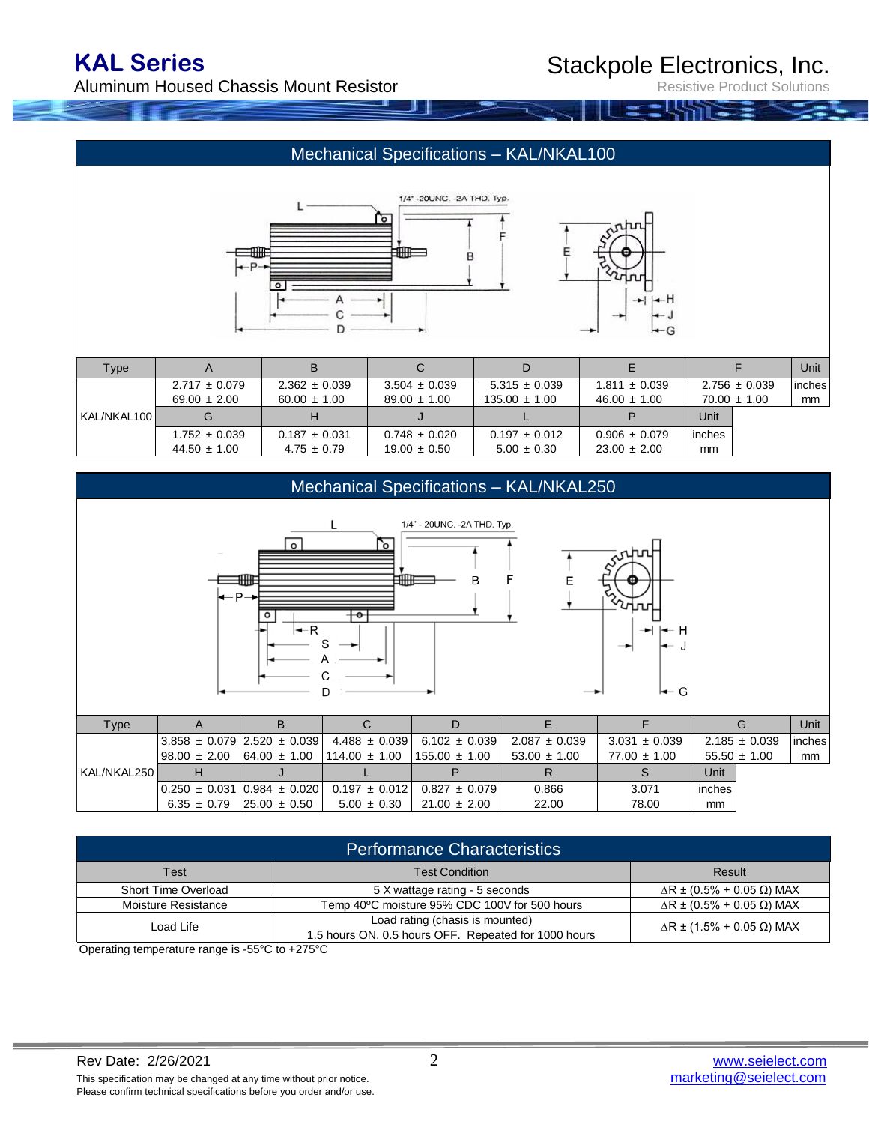Aluminum Housed Chassis Mount Resistor

Resistive Product Solutions

## Mechanical Specifications – KAL/NKAL100





| Type        |                   |                   | С                 | D                 |                   |                   | Unit    |
|-------------|-------------------|-------------------|-------------------|-------------------|-------------------|-------------------|---------|
|             | $2.717 \pm 0.079$ | $2.362 \pm 0.039$ | $3.504 \pm 0.039$ | $5.315 \pm 0.039$ | $1.811 \pm 0.039$ | $2.756 \pm 0.039$ | linches |
|             | $69.00 \pm 2.00$  | $60.00 \pm 1.00$  | $89.00 \pm 1.00$  | $135.00 \pm 1.00$ | $46.00 \pm 1.00$  | $70.00 \pm 1.00$  | mm      |
| KAL/NKAL100 |                   |                   |                   |                   |                   | Unit              |         |
|             | $1.752 \pm 0.039$ | $0.187 \pm 0.031$ | $0.748 \pm 0.020$ | $0.197 \pm 0.012$ | $0.906 \pm 0.079$ | inches            |         |
|             | $44.50 \pm 1.00$  | $4.75 \pm 0.79$   | $19.00 \pm 0.50$  | $5.00 \pm 0.30$   | $23.00 \pm 2.00$  | mm                |         |



| <b>Performance Characteristics</b> |                                                                                         |                                          |  |  |  |
|------------------------------------|-----------------------------------------------------------------------------------------|------------------------------------------|--|--|--|
| Test                               | <b>Test Condition</b>                                                                   | Result                                   |  |  |  |
| Short Time Overload                | 5 X wattage rating - 5 seconds                                                          | $\Delta$ R ± (0.5% + 0.05 $\Omega$ ) MAX |  |  |  |
| Moisture Resistance                | Temp 40°C moisture 95% CDC 100V for 500 hours                                           | $\Delta$ R ± (0.5% + 0.05 $\Omega$ ) MAX |  |  |  |
| Load Life                          | Load rating (chasis is mounted)<br>1.5 hours ON, 0.5 hours OFF. Repeated for 1000 hours | $\Delta$ R ± (1.5% + 0.05 Ω) MAX         |  |  |  |

Operating temperature range is -55°C to +275°C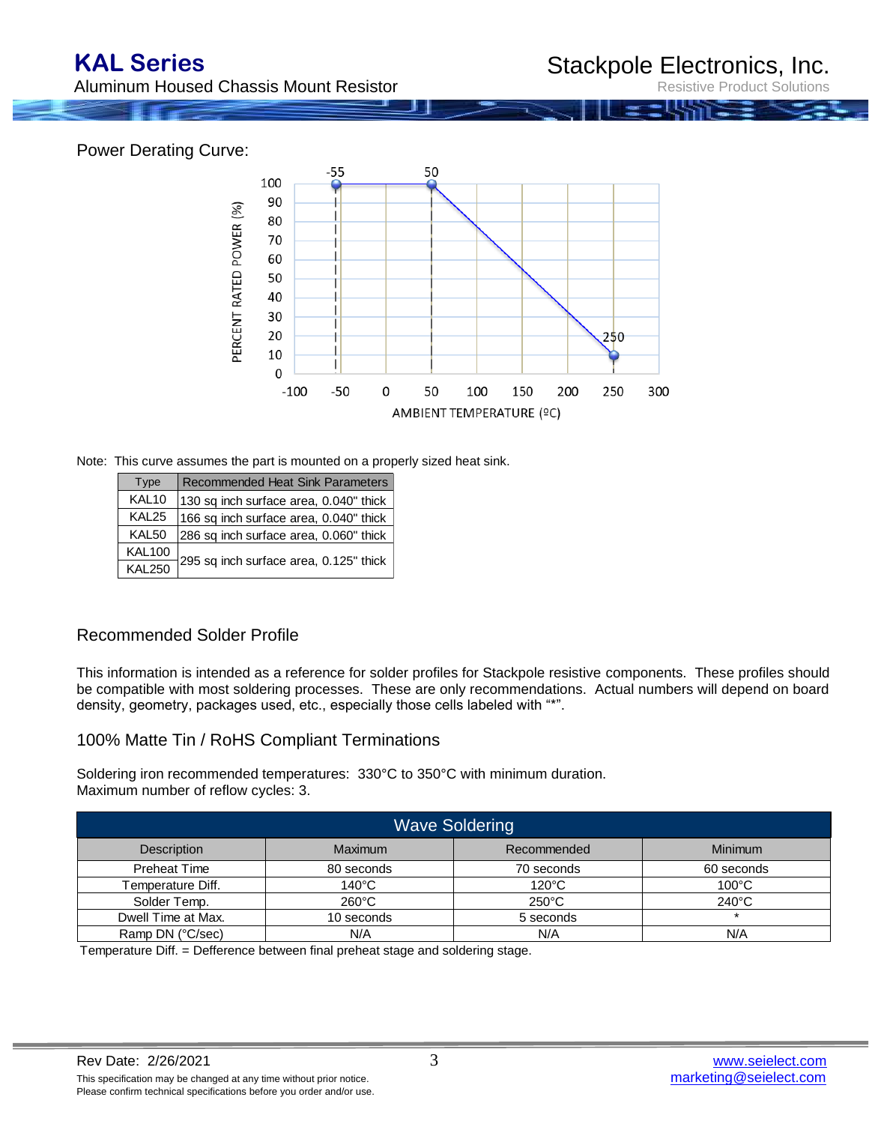Aluminum Housed Chassis Mount Resistor

Resistive Product Solutions

### Power Derating Curve:



Note: This curve assumes the part is mounted on a properly sized heat sink.

| <b>Type</b>       | <b>Recommended Heat Sink Parameters</b> |
|-------------------|-----------------------------------------|
| KAL <sub>10</sub> | 130 sq inch surface area, 0.040" thick  |
| KAL <sub>25</sub> | 166 sq inch surface area, 0.040" thick  |
| KAL <sub>50</sub> | 286 sq inch surface area, 0.060" thick  |
| <b>KAL100</b>     | 295 sq inch surface area, 0.125" thick  |
| <b>KAL250</b>     |                                         |

### Recommended Solder Profile

This information is intended as a reference for solder profiles for Stackpole resistive components. These profiles should be compatible with most soldering processes. These are only recommendations. Actual numbers will depend on board density, geometry, packages used, etc., especially those cells labeled with "\*".

### 100% Matte Tin / RoHS Compliant Terminations

Soldering iron recommended temperatures: 330°C to 350°C with minimum duration. Maximum number of reflow cycles: 3.

| <b>Wave Soldering</b>    |                 |                 |                 |  |  |  |
|--------------------------|-----------------|-----------------|-----------------|--|--|--|
| Description              | Maximum         | Recommended     | Minimum         |  |  |  |
| <b>Preheat Time</b>      | 80 seconds      | 70 seconds      | 60 seconds      |  |  |  |
| <b>Temperature Diff.</b> | 140°C           | $120^{\circ}$ C | $100^{\circ}$ C |  |  |  |
| Solder Temp.             | $260^{\circ}$ C | $250^{\circ}$ C | $240^{\circ}$ C |  |  |  |
| Dwell Time at Max.       | 10 seconds      | 5 seconds       |                 |  |  |  |
| Ramp DN (°C/sec)         | N/A             | N/A             | N/A             |  |  |  |

Temperature Diff. = Defference between final preheat stage and soldering stage.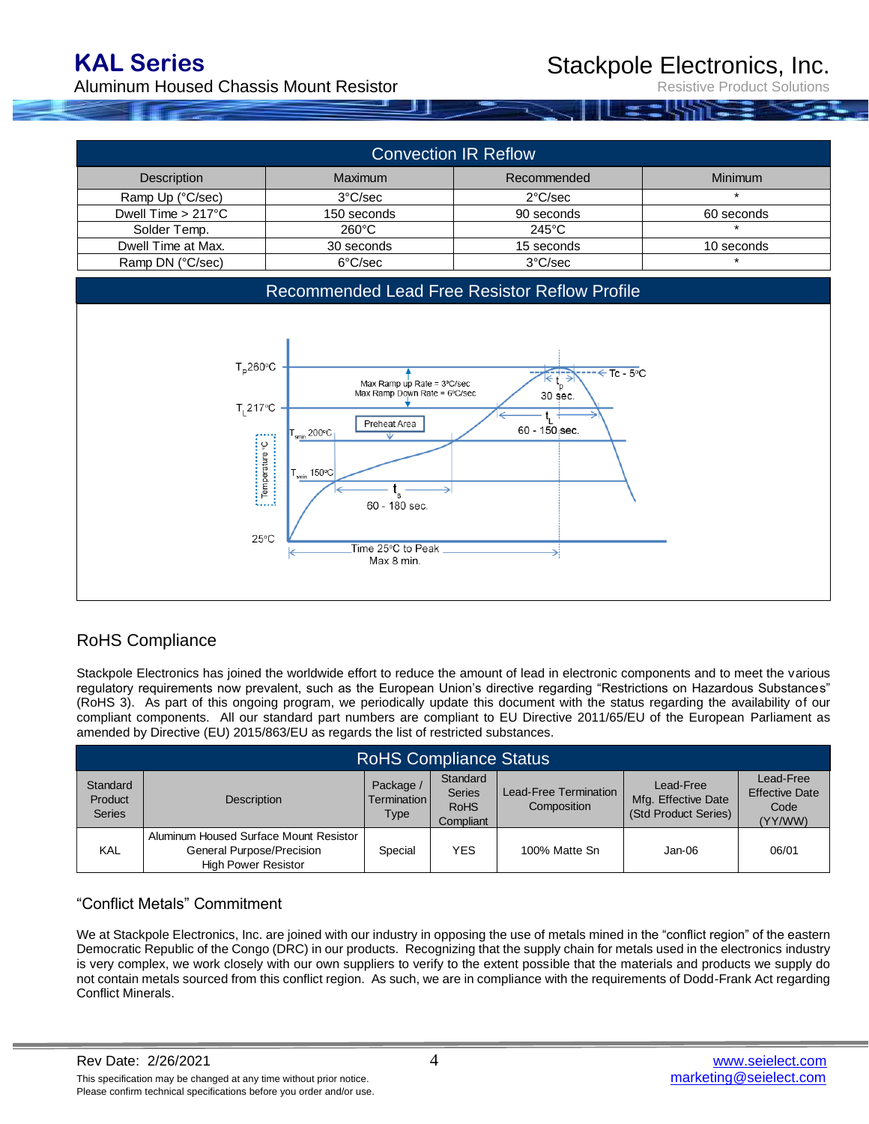## **KAL Series**

Aluminum Housed Chassis Mount Resistor

Resistive Product Solutions

| <b>Convection IR Reflow</b>  |                   |                   |                |  |  |  |
|------------------------------|-------------------|-------------------|----------------|--|--|--|
| Description                  | <b>Maximum</b>    | Recommended       | <b>Minimum</b> |  |  |  |
| Ramp Up (°C/sec)             | $3^{\circ}$ C/sec | $2^{\circ}$ C/sec | $\star$        |  |  |  |
| Dwell Time $> 217^{\circ}$ C | 150 seconds       | 90 seconds        | 60 seconds     |  |  |  |
| Solder Temp.                 | $260^{\circ}$ C   | $245^{\circ}$ C   | $\star$        |  |  |  |
| Dwell Time at Max.           | 30 seconds        | 15 seconds        | 10 seconds     |  |  |  |
| Ramp DN (°C/sec)             | 6°C/sec           | 3°C/sec           |                |  |  |  |



## RoHS Compliance

Stackpole Electronics has joined the worldwide effort to reduce the amount of lead in electronic components and to meet the various regulatory requirements now prevalent, such as the European Union's directive regarding "Restrictions on Hazardous Substances" (RoHS 3). As part of this ongoing program, we periodically update this document with the status regarding the availability of our compliant components. All our standard part numbers are compliant to EU Directive 2011/65/EU of the European Parliament as amended by Directive (EU) 2015/863/EU as regards the list of restricted substances.

| <b>RoHS Compliance Status</b>               |                                                                                                   |                                         |                                                       |                                      |                                                          |                                                       |  |  |
|---------------------------------------------|---------------------------------------------------------------------------------------------------|-----------------------------------------|-------------------------------------------------------|--------------------------------------|----------------------------------------------------------|-------------------------------------------------------|--|--|
| Standard<br><b>Product</b><br><b>Series</b> | <b>Description</b>                                                                                | Package /<br><b>Termination</b><br>Type | Standard<br><b>Series</b><br><b>RoHS</b><br>Compliant | Lead-Free Termination<br>Composition | Lead-Free<br>Mfg. Effective Date<br>(Std Product Series) | Lead-Free<br><b>Effective Date</b><br>Code<br>(YY/WW) |  |  |
| KAL                                         | Aluminum Housed Surface Mount Resistor<br>General Purpose/Precision<br><b>High Power Resistor</b> | Special                                 | <b>YES</b>                                            | 100% Matte Sn                        | Jan-06                                                   | 06/01                                                 |  |  |

### "Conflict Metals" Commitment

We at Stackpole Electronics, Inc. are joined with our industry in opposing the use of metals mined in the "conflict region" of the eastern Democratic Republic of the Congo (DRC) in our products. Recognizing that the supply chain for metals used in the electronics industry is very complex, we work closely with our own suppliers to verify to the extent possible that the materials and products we supply do not contain metals sourced from this conflict region. As such, we are in compliance with the requirements of Dodd-Frank Act regarding Conflict Minerals.